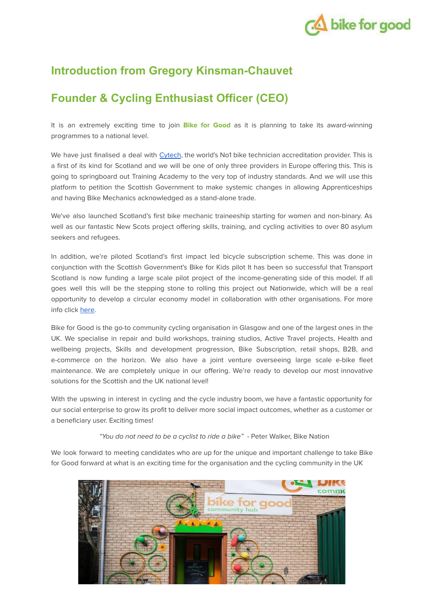

# **Introduction from Gregory Kinsman-Chauvet**

## **Founder & Cycling Enthusiast Officer (CEO)**

It is an extremely exciting time to join **Bike for Good** as it is planning to take its award-winning programmes to a national level.

We have just finalised a deal with [Cytech](https://www.cytech.training/directory/cytech-technician-status/), the world's No1 bike technician accreditation provider. This is a first of its kind for Scotland and we will be one of only three providers in Europe offering this. This is going to springboard out Training Academy to the very top of industry standards. And we will use this platform to petition the Scottish Government to make systemic changes in allowing Apprenticeships and having Bike Mechanics acknowledged as a stand-alone trade.

We've also launched Scotland's first bike mechanic traineeship starting for women and non-binary. As well as our fantastic New Scots project offering skills, training, and cycling activities to over 80 asylum seekers and refugees.

In addition, we're piloted Scotland's first impact led bicycle subscription scheme. This was done in conjunction with the Scottish Government's Bike for Kids pilot It has been so successful that Transport Scotland is now funding a large scale pilot project of the income-generating side of this model. If all goes well this will be the stepping stone to rolling this project out Nationwide, which will be a real opportunity to develop a circular economy model in collaboration with other organisations. For more info click [here](https://www.bikeforgood.org.uk/blog/our-2021-at-bike-for-good/).

Bike for Good is the go-to community cycling organisation in Glasgow and one of the largest ones in the UK. We specialise in repair and build workshops, training studios, Active Travel projects, Health and wellbeing projects, Skills and development progression, Bike Subscription, retail shops, B2B, and e-commerce on the horizon. We also have a joint venture overseeing large scale e-bike fleet maintenance. We are completely unique in our offering. We're ready to develop our most innovative solutions for the Scottish and the UK national level!

With the upswing in interest in cycling and the cycle industry boom, we have a fantastic opportunity for our social enterprise to grow its profit to deliver more social impact outcomes, whether as a customer or a beneficiary user. Exciting times!

"You do not need to be a cyclist to ride a bike" - Peter Walker, Bike Nation

We look forward to meeting candidates who are up for the unique and important challenge to take Bike for Good forward at what is an exciting time for the organisation and the cycling community in the UK

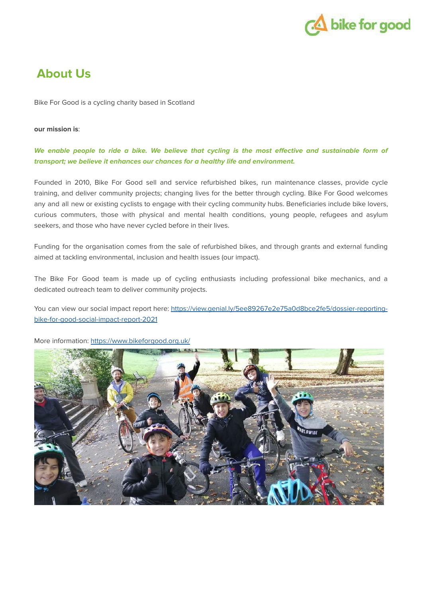

# **About Us**

Bike For Good is a cycling charity based in Scotland

#### **our mission is**:

#### We enable people to ride a bike. We believe that cycling is the most effective and sustainable form of **transport; we believe it enhances our chances for a healthy life and environment.**

Founded in 2010, Bike For Good sell and service refurbished bikes, run maintenance classes, provide cycle training, and deliver community projects; changing lives for the better through cycling. Bike For Good welcomes any and all new or existing cyclists to engage with their cycling community hubs. Beneficiaries include bike lovers, curious commuters, those with physical and mental health conditions, young people, refugees and asylum seekers, and those who have never cycled before in their lives.

Funding for the organisation comes from the sale of refurbished bikes, and through grants and external funding aimed at tackling environmental, inclusion and health issues (our impact).

The Bike For Good team is made up of cycling enthusiasts including professional bike mechanics, and a dedicated outreach team to deliver community projects.

You can view our social impact report here: [https://view.genial.ly/5ee89267e2e75a0d8bce2fe5/dossier-reporting](https://view.genial.ly/5ee89267e2e75a0d8bce2fe5/dossier-reporting-bike-for-good-social-impact-report-2021)[bike-for-good-social-impact-report-2021](https://view.genial.ly/5ee89267e2e75a0d8bce2fe5/dossier-reporting-bike-for-good-social-impact-report-2021)



More information: <https://www.bikeforgood.org.uk/>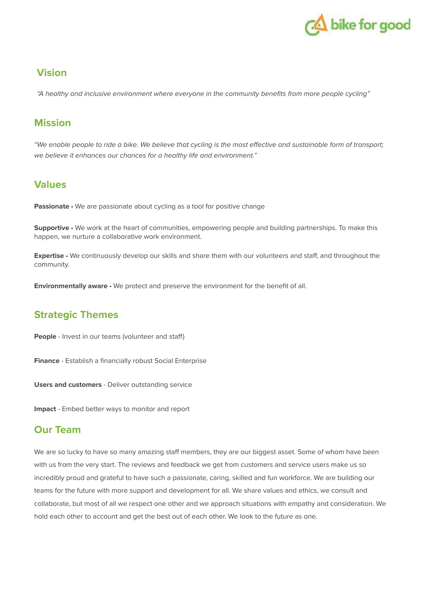

## **Vision**

"A healthy and inclusive environment where everyone in the community benefits from more people cycling"

## **Mission**

"We enable people to ride a bike. We believe that cycling is the most effective and sustainable form of transport; we believe it enhances our chances for a healthy life and environment."

## **Values**

**Passionate** - We are passionate about cycling as a tool for positive change

**Supportive -** We work at the heart of communities, empowering people and building partnerships. To make this happen, we nurture a collaborative work environment.

**Expertise -** We continuously develop our skills and share them with our volunteers and staff, and throughout the community.

**Environmentally aware -** We protect and preserve the environment for the benefit of all.

## **Strategic Themes**

**People** - Invest in our teams (volunteer and staff)

**Finance** - Establish a financially robust Social Enterprise

**Users and customers** - Deliver outstanding service

**Impact** - Embed better ways to monitor and report

## **Our Team**

We are so lucky to have so many amazing staff members, they are our biggest asset. Some of whom have been with us from the very start. The reviews and feedback we get from customers and service users make us so incredibly proud and grateful to have such a passionate, caring, skilled and fun workforce. We are building our teams for the future with more support and development for all. We share values and ethics, we consult and collaborate, but most of all we respect one other and we approach situations with empathy and consideration. We hold each other to account and get the best out of each other. We look to the future as one.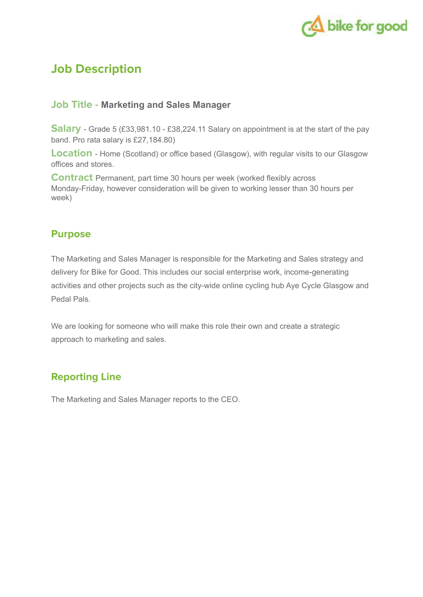

## **Job Description**

### **Job Title - Marketing and Sales Manager**

**Salary** - Grade 5 (£33,981.10 - £38,224.11 Salary on appointment is at the start of the pay band. Pro rata salary is £27,184.80)

**Location** - Home (Scotland) or office based (Glasgow), with regular visits to our Glasgow offices and stores.

**Contract** Permanent, part time 30 hours per week (worked flexibly across Monday-Friday, however consideration will be given to working lesser than 30 hours per week)

### **Purpose**

The Marketing and Sales Manager is responsible for the Marketing and Sales strategy and delivery for Bike for Good. This includes our social enterprise work, income-generating activities and other projects such as the city-wide online cycling hub Aye Cycle Glasgow and Pedal Pals.

We are looking for someone who will make this role their own and create a strategic approach to marketing and sales.

## **Reporting Line**

The Marketing and Sales Manager reports to the CEO.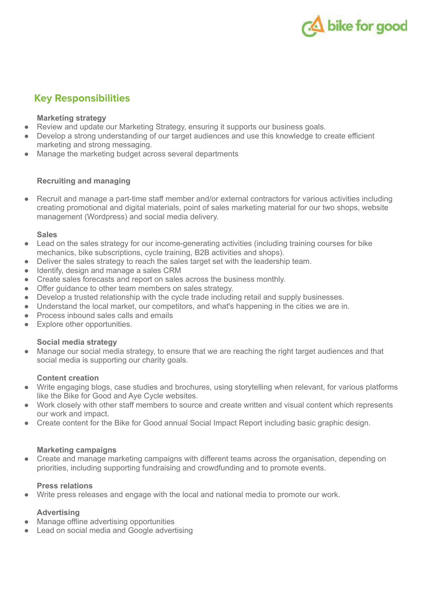

## **Key Responsibilities**

#### **Marketing strategy**

- Review and update our Marketing Strategy, ensuring it supports our business goals.
- Develop a strong understanding of our target audiences and use this knowledge to create efficient marketing and strong messaging.
- Manage the marketing budget across several departments

#### **Recruiting and managing**

Recruit and manage a part-time staff member and/or external contractors for various activities including creating promotional and digital materials, point of sales marketing material for our two shops, website management (Wordpress) and social media delivery.

#### **Sales**

- Lead on the sales strategy for our income-generating activities (including training courses for bike mechanics, bike subscriptions, cycle training, B2B activities and shops).
- Deliver the sales strategy to reach the sales target set with the leadership team.
- Identify, design and manage a sales CRM
- Create sales forecasts and report on sales across the business monthly.
- Offer guidance to other team members on sales strategy.
- Develop a trusted relationship with the cycle trade including retail and supply businesses.
- Understand the local market, our competitors, and what's happening in the cities we are in.
- Process inbound sales calls and emails
- Explore other opportunities.

#### **Social media strategy**

● Manage our social media strategy, to ensure that we are reaching the right target audiences and that social media is supporting our charity goals.

#### **Content creation**

- Write engaging blogs, case studies and brochures, using storytelling when relevant, for various platforms like the Bike for Good and Aye Cycle websites.
- Work closely with other staff members to source and create written and visual content which represents our work and impact.
- Create content for the Bike for Good annual Social Impact Report including basic graphic design.

#### **Marketing campaigns**

• Create and manage marketing campaigns with different teams across the organisation, depending on priorities, including supporting fundraising and crowdfunding and to promote events.

#### **Press relations**

Write press releases and engage with the local and national media to promote our work.

#### **Advertising**

- Manage offline advertising opportunities
- Lead on social media and Google advertising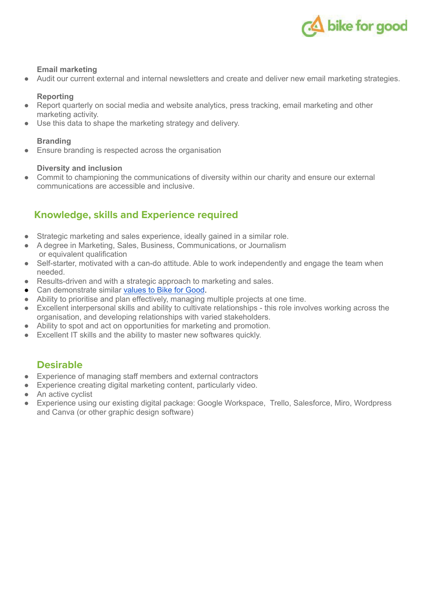

#### **Email marketing**

Audit our current external and internal newsletters and create and deliver new email marketing strategies.

#### **Reporting**

- Report quarterly on social media and website analytics, press tracking, email marketing and other marketing activity.
- Use this data to shape the marketing strategy and delivery.

#### **Branding**

● Ensure branding is respected across the organisation

#### **Diversity and inclusion**

Commit to championing the communications of diversity within our charity and ensure our external communications are accessible and inclusive.

## **Knowledge, skills and Experience required**

- Strategic marketing and sales experience, ideally gained in a similar role.
- A degree in Marketing, Sales, Business, Communications, or Journalism or equivalent qualification
- Self-starter, motivated with a can-do attitude. Able to work independently and engage the team when needed.
- Results-driven and with a strategic approach to marketing and sales.
- Can demonstrate similar [values](https://www.bikeforgood.org.uk/about-us/history-mission/) to Bike for Good.
- Ability to prioritise and plan effectively, managing multiple projects at one time.
- Excellent interpersonal skills and ability to cultivate relationships this role involves working across the organisation, and developing relationships with varied stakeholders.
- Ability to spot and act on opportunities for marketing and promotion.
- Excellent IT skills and the ability to master new softwares quickly.

## **Desirable**

- Experience of managing staff members and external contractors
- Experience creating digital marketing content, particularly video.
- An active cyclist
- Experience using our existing digital package: Google Workspace, Trello, Salesforce, Miro, Wordpress and Canva (or other graphic design software)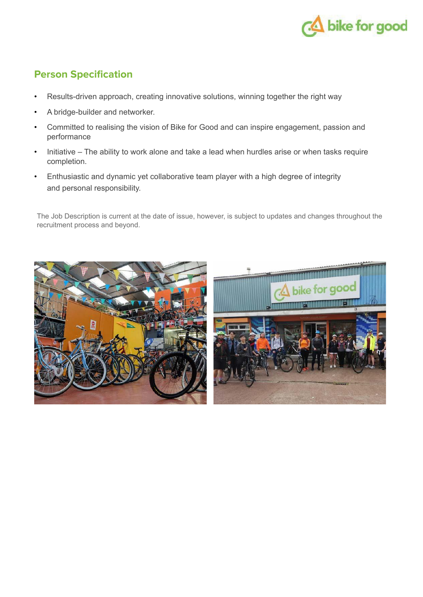

## **Person Specification**

- Results-driven approach, creating innovative solutions, winning together the right way
- A bridge-builder and networker.
- Committed to realising the vision of Bike for Good and can inspire engagement, passion and performance
- Initiative The ability to work alone and take a lead when hurdles arise or when tasks require completion.
- Enthusiastic and dynamic yet collaborative team player with a high degree of integrity and personal responsibility.

The Job Description is current at the date of issue, however, is subject to updates and changes throughout the recruitment process and beyond.

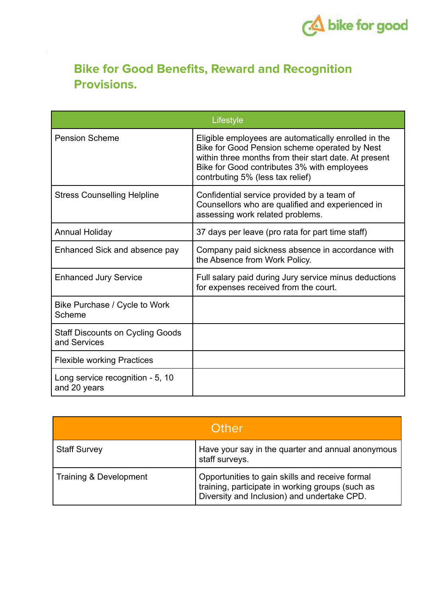

# **Bike for Good Benefits, Reward and Recognition Provisions.**

| Lifestyle                                               |                                                                                                                                                                                                                                                   |
|---------------------------------------------------------|---------------------------------------------------------------------------------------------------------------------------------------------------------------------------------------------------------------------------------------------------|
| <b>Pension Scheme</b>                                   | Eligible employees are automatically enrolled in the<br>Bike for Good Pension scheme operated by Nest<br>within three months from their start date. At present<br>Bike for Good contributes 3% with employees<br>contrbuting 5% (less tax relief) |
| <b>Stress Counselling Helpline</b>                      | Confidential service provided by a team of<br>Counsellors who are qualified and experienced in<br>assessing work related problems.                                                                                                                |
| <b>Annual Holiday</b>                                   | 37 days per leave (pro rata for part time staff)                                                                                                                                                                                                  |
| Enhanced Sick and absence pay                           | Company paid sickness absence in accordance with<br>the Absence from Work Policy.                                                                                                                                                                 |
| <b>Enhanced Jury Service</b>                            | Full salary paid during Jury service minus deductions<br>for expenses received from the court.                                                                                                                                                    |
| Bike Purchase / Cycle to Work<br>Scheme                 |                                                                                                                                                                                                                                                   |
| <b>Staff Discounts on Cycling Goods</b><br>and Services |                                                                                                                                                                                                                                                   |
| <b>Flexible working Practices</b>                       |                                                                                                                                                                                                                                                   |
| Long service recognition - 5, 10<br>and 20 years        |                                                                                                                                                                                                                                                   |

| Other                  |                                                                                                                                                    |
|------------------------|----------------------------------------------------------------------------------------------------------------------------------------------------|
| <b>Staff Survey</b>    | Have your say in the quarter and annual anonymous<br>staff surveys.                                                                                |
| Training & Development | Opportunities to gain skills and receive formal<br>training, participate in working groups (such as<br>Diversity and Inclusion) and undertake CPD. |